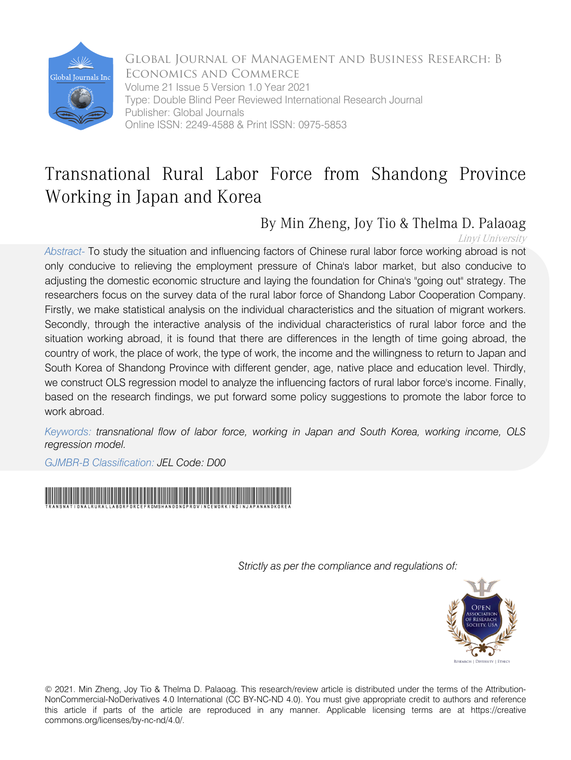

Global Journal of Management and Business Research: B Economics and Commerce Volume 21 Issue 5 Version 1.0 Year 2021 Type: Double Blind Peer Reviewed International Research Journal Publisher: Global Journals Online ISSN: 2249-4588 & Print ISSN: 0975-5853

## Transnational Rural Labor Force from Shandong Province Working in Japan and Korea

### By Min Zheng, Joy Tio & Thelma D. Palaoag

Linyi University

*Abstract-* To study the situation and influencing factors of Chinese rural labor force working abroad is not only conducive to relieving the employment pressure of China's labor market, but also conducive to adjusting the domestic economic structure and laying the foundation for China's "going out" strategy. The researchers focus on the survey data of the rural labor force of Shandong Labor Cooperation Company. Firstly, we make statistical analysis on the individual characteristics and the situation of migrant workers. Secondly, through the interactive analysis of the individual characteristics of rural labor force and the situation working abroad, it is found that there are differences in the length of time going abroad, the country of work, the place of work, the type of work, the income and the willingness to return to Japan and South Korea of Shandong Province with different gender, age, native place and education level. Thirdly, we construct OLS regression model to analyze the influencing factors of rural labor force's income. Finally, based on the research findings, we put forward some policy suggestions to promote the labor force to work abroad.

*Keywords: transnational flow of labor force, working in Japan and South Korea, working income, OLS regression model.*

*GJMBR-B Classification: JEL Code: D00* 



 *Strictly as per the compliance and regulations of:*



© 2021. Min Zheng, Joy Tio & Thelma D. Palaoag. This research/review article is distributed under the terms of the Attribution-NonCommercial-NoDerivatives 4.0 International (CC BY-NC-ND 4.0). You must give appropriate credit to authors and reference this article if parts of the article are reproduced in any manner. Applicable licensing terms are at https://creative commons.org/licenses/by-nc-nd/4.0/.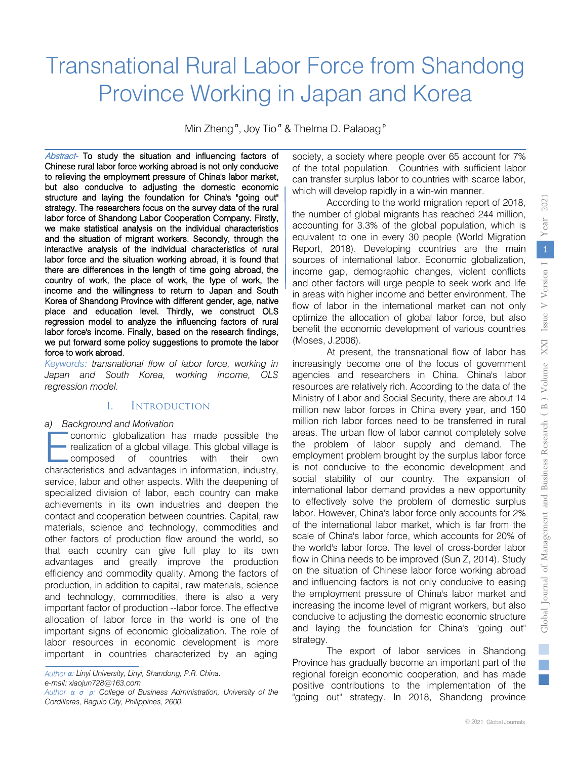# Transnational Rural Labor Force from Shandong Province Working in Japan and Korea

Min Zheng<sup>a</sup>, Joy Tio<sup>o</sup> & Thelma D. Palaoag<sup>P</sup>

Abstract- To study the situation and influencing factors of Chinese rural labor force working abroad is not only conducive to relieving the employment pressure of China's labor market, but also conducive to adjusting the domestic economic structure and laying the foundation for China's "going out" strategy. The researchers focus on the survey data of the rural labor force of Shandong Labor Cooperation Company. Firstly, we make statistical analysis on the individual characteristics and the situation of migrant workers. Secondly, through the interactive analysis of the individual characteristics of rural labor force and the situation working abroad, it is found that there are differences in the length of time going abroad, the country of work, the place of work, the type of work, the income and the willingness to return to Japan and South Korea of Shandong Province with different gender, age, native place and education level. Thirdly, we construct OLS regression model to analyze the influencing factors of rural labor force's income. Finally, based on the research findings, we put forward some policy suggestions to promote the labor force to work abroad.

*Keywords: transnational flow of labor force, working in Japan and South Korea, working income, OLS regression model.*

#### I. Introduction

#### *a) Background and Motivation*

conomic globalization has made possible the • realization of a global village. This global village is composed of countries with their own conomic globalization has made possible the realization of a global village. This global village is composed of countries with their own characteristics and advantages in information, industry, service, labor and other aspects. With the deepening of specialized division of labor, each country can make achievements in its own industries and deepen the contact and cooperation between countries. Capital, raw materials, science and technology, commodities and other factors of production flow around the world, so that each country can give full play to its own advantages and greatly improve the production efficiency and commodity quality. Among the factors of production, in addition to capital, raw materials, science and technology, commodities, there is also a very important factor of production --labor force. The effective allocation of labor force in the world is one of the important signs of economic globalization. The role of labor resources in economic development is more important in countries characterized by an aging

*Author α: Linyi University, Linyi, Shandong, P.R. China. e-mail: xiaojun728@163.com*

*Author α σ ρ: College of Business Administration, University of the Cordilleras, Baguio City, Philippines, 2600.*

society, a society where people over 65 account for 7% of the total population. Countries with sufficient labor can transfer surplus labor to countries with scarce labor, which will develop rapidly in a win-win manner.

According to the world migration report of 2018, the number of global migrants has reached 244 million, accounting for 3.3% of the global population, which is equivalent to one in every 30 people (World Migration Report, 2018). Developing countries are the main sources of international labor. Economic globalization, income gap, demographic changes, violent conflicts and other factors will urge people to seek work and life in areas with higher income and better environment. The flow of labor in the international market can not only optimize the allocation of global labor force, but also benefit the economic development of various countries (Moses, J.2006).

At present, the transnational flow of labor has increasingly become one of the focus of government agencies and researchers in China. China's labor resources are relatively rich. According to the data of the Ministry of Labor and Social Security, there are about 14 million new labor forces in China every year, and 150 million rich labor forces need to be transferred in rural areas. The urban flow of labor cannot completely solve the problem of labor supply and demand. The employment problem brought by the surplus labor force is not conducive to the economic development and social stability of our country. The expansion of international labor demand provides a new opportunity to effectively solve the problem of domestic surplus labor. However, China's labor force only accounts for 2% of the international labor market, which is far from the scale of China's labor force, which accounts for 20% of the world's labor force. The level of cross-border labor flow in China needs to be improved (Sun Z, 2014). Study on the situation of Chinese labor force working abroad and influencing factors is not only conducive to easing the employment pressure of China's labor market and increasing the income level of migrant workers, but also conducive to adjusting the domestic economic structure and laying the foundation for China's "going out" strategy.

The export of labor services in Shandong Province has gradually become an important part of the regional foreign economic cooperation, and has made positive contributions to the implementation of the "going out" strategy. In 2018, Shandong province

parties.<br>Personality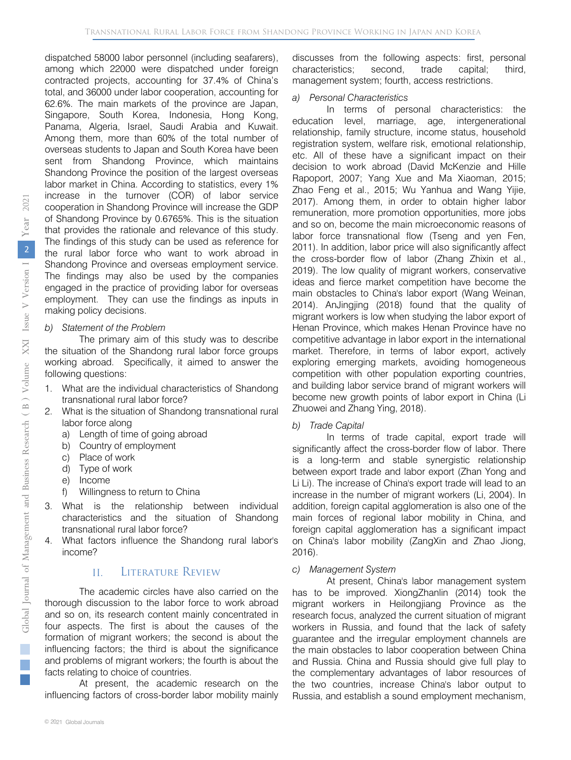dispatched 58000 labor personnel (including seafarers), among which 22000 were dispatched under foreign contracted projects, accounting for 37.4% of China's total, and 36000 under labor cooperation, accounting for 62.6%. The main markets of the province are Japan, Singapore, South Korea, Indonesia, Hong Kong, Panama, Algeria, Israel, Saudi Arabia and Kuwait. Among them, more than 60% of the total number of overseas students to Japan and South Korea have been sent from Shandong Province, which maintains Shandong Province the position of the largest overseas labor market in China. According to statistics, every 1% increase in the turnover (COR) of labor service cooperation in Shandong Province will increase the GDP of Shandong Province by 0.6765%. This is the situation that provides the rationale and relevance of this study. The findings of this study can be used as reference for the rural labor force who want to work abroad in Shandong Province and overseas employment service. The findings may also be used by the companies engaged in the practice of providing labor for overseas employment. They can use the findings as inputs in making policy decisions.

*b) Statement of the Problem* 

The primary aim of this study was to describe the situation of the Shandong rural labor force groups working abroad. Specifically, it aimed to answer the following questions:

- 1. What are the individual characteristics of Shandong transnational rural labor force?
- 2. What is the situation of Shandong transnational rural labor force along
	- a) Length of time of going abroad
	- b) Country of employment
	- c) Place of work
	- d) Type of work
	- e) Income
	- f) Willingness to return to China
- What is the relationship between individual characteristics and the situation of Shandong transnational rural labor force?
- 4. What factors influence the Shandong rural labor's income?

#### II. Literature Review

The academic circles have also carried on the thorough discussion to the labor force to work abroad and so on, its research content mainly concentrated in four aspects. The first is about the causes of the formation of migrant workers; the second is about the influencing factors; the third is about the significance and problems of migrant workers; the fourth is about the facts relating to choice of countries.

At present, the academic research on the influencing factors of cross-border labor mobility mainly discusses from the following aspects: first, personal characteristics; second, trade capital; third, management system; fourth, access restrictions.

#### *a) Personal Characteristics*

In terms of personal characteristics: the education level, marriage, age, intergenerational relationship, family structure, income status, household registration system, welfare risk, emotional relationship, etc. All of these have a significant impact on their decision to work abroad (David McKenzie and Hille Rapoport, 2007; Yang Xue and Ma Xiaoman, 2015; Zhao Feng et al., 2015; Wu Yanhua and Wang Yijie, 2017). Among them, in order to obtain higher labor remuneration, more promotion opportunities, more jobs and so on, become the main microeconomic reasons of labor force transnational flow (Tseng and yen Fen, 2011). In addition, labor price will also significantly affect the cross-border flow of labor (Zhang Zhixin et al., 2019). The low quality of migrant workers, conservative ideas and fierce market competition have become the main obstacles to China's labor export (Wang Weinan, 2014). AnJingjing (2018) found that the quality of migrant workers is low when studying the labor export of Henan Province, which makes Henan Province have no competitive advantage in labor export in the international market. Therefore, in terms of labor export, actively exploring emerging markets, avoiding homogeneous competition with other population exporting countries, and building labor service brand of migrant workers will become new growth points of labor export in China (Li Zhuowei and Zhang Ying, 2018).

#### *b) Trade Capital*

In terms of trade capital, export trade will significantly affect the cross-border flow of labor. There is a long-term and stable synergistic relationship between export trade and labor export (Zhan Yong and Li Li). The increase of China's export trade will lead to an increase in the number of migrant workers (Li, 2004). In addition, foreign capital agglomeration is also one of the main forces of regional labor mobility in China, and foreign capital agglomeration has a significant impact on China's labor mobility (ZangXin and Zhao Jiong, 2016).

#### *c) Management System*

At present, China's labor management system has to be improved. XiongZhanlin (2014) took the migrant workers in Heilongjiang Province as the research focus, analyzed the current situation of migrant workers in Russia, and found that the lack of safety guarantee and the irregular employment channels are the main obstacles to labor cooperation between China and Russia. China and Russia should give full play to the complementary advantages of labor resources of the two countries, increase China's labor output to Russia, and establish a sound employment mechanism,

r.  $\mathbb{R}^n$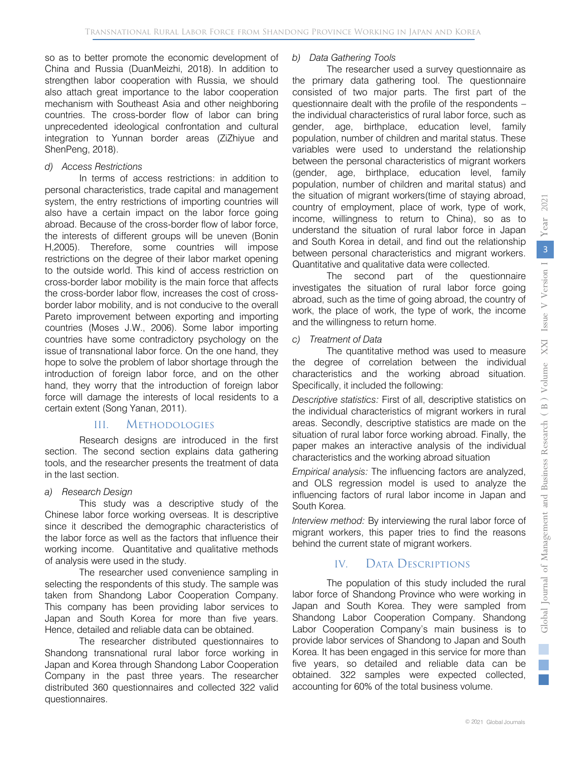so as to better promote the economic development of China and Russia (DuanMeizhi, 2018). In addition to strengthen labor cooperation with Russia, we should also attach great importance to the labor cooperation mechanism with Southeast Asia and other neighboring countries. The cross-border flow of labor can bring unprecedented ideological confrontation and cultural integration to Yunnan border areas (ZiZhiyue and ShenPeng, 2018).

#### *d) Access Restrictions*

In terms of access restrictions: in addition to personal characteristics, trade capital and management system, the entry restrictions of importing countries will also have a certain impact on the labor force going abroad. Because of the cross-border flow of labor force, the interests of different groups will be uneven (Bonin H,2005). Therefore, some countries will impose restrictions on the degree of their labor market opening to the outside world. This kind of access restriction on cross-border labor mobility is the main force that affects the cross-border labor flow, increases the cost of crossborder labor mobility, and is not conducive to the overall Pareto improvement between exporting and importing countries (Moses J.W., 2006). Some labor importing countries have some contradictory psychology on the issue of transnational labor force. On the one hand, they hope to solve the problem of labor shortage through the introduction of foreign labor force, and on the other hand, they worry that the introduction of foreign labor force will damage the interests of local residents to a certain extent (Song Yanan, 2011).

#### III. Methodologies

Research designs are introduced in the first section. The second section explains data gathering tools, and the researcher presents the treatment of data in the last section.

#### *a) Research Design*

This study was a descriptive study of the Chinese labor force working overseas. It is descriptive since it described the demographic characteristics of the labor force as well as the factors that influence their working income. Quantitative and qualitative methods of analysis were used in the study.

The researcher used convenience sampling in selecting the respondents of this study. The sample was taken from Shandong Labor Cooperation Company. This company has been providing labor services to Japan and South Korea for more than five years. Hence, detailed and reliable data can be obtained.

The researcher distributed questionnaires to Shandong transnational rural labor force working in Japan and Korea through Shandong Labor Cooperation Company in the past three years. The researcher distributed 360 questionnaires and collected 322 valid questionnaires.

#### *b) Data Gathering Tools*

The researcher used a survey questionnaire as the primary data gathering tool. The questionnaire consisted of two major parts. The first part of the questionnaire dealt with the profile of the respondents – the individual characteristics of rural labor force, such as gender, age, birthplace, education level, family population, number of children and marital status. These variables were used to understand the relationship between the personal characteristics of migrant workers (gender, age, birthplace, education level, family population, number of children and marital status) and the situation of migrant workers(time of staying abroad, country of employment, place of work, type of work, income, willingness to return to China), so as to understand the situation of rural labor force in Japan and South Korea in detail, and find out the relationship between personal characteristics and migrant workers. Quantitative and qualitative data were collected.

The second part of the questionnaire investigates the situation of rural labor force going abroad, such as the time of going abroad, the country of work, the place of work, the type of work, the income and the willingness to return home.

*c) Treatment of Data* 

The quantitative method was used to measure the degree of correlation between the individual characteristics and the working abroad situation. Specifically, it included the following:

*Descriptive statistics:* First of all, descriptive statistics on the individual characteristics of migrant workers in rural areas. Secondly, descriptive statistics are made on the situation of rural labor force working abroad. Finally, the paper makes an interactive analysis of the individual characteristics and the working abroad situation

*Empirical analysis:* The influencing factors are analyzed, and OLS regression model is used to analyze the influencing factors of rural labor income in Japan and South Korea.

*Interview method:* By interviewing the rural labor force of migrant workers, this paper tries to find the reasons behind the current state of migrant workers.

#### IV. DATA DESCRIPTIONS

The population of this study included the rural labor force of Shandong Province who were working in Japan and South Korea. They were sampled from Shandong Labor Cooperation Company. Shandong Labor Cooperation Company's main business is to provide labor services of Shandong to Japan and South Korea. It has been engaged in this service for more than five years, so detailed and reliable data can be obtained. 322 samples were expected collected, accounting for 60% of the total business volume.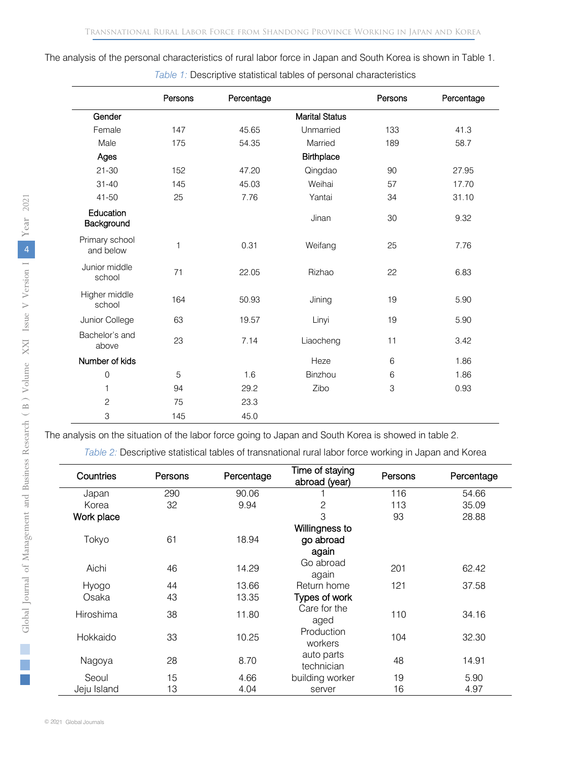The analysis of the personal characteristics of rural labor force in Japan and South Korea is shown in Table 1.

|                             | Persons | Percentage |                       | Persons | Percentage |
|-----------------------------|---------|------------|-----------------------|---------|------------|
| Gender                      |         |            | <b>Marital Status</b> |         |            |
| Female                      | 147     | 45.65      | Unmarried             | 133     | 41.3       |
| Male                        | 175     | 54.35      | Married               | 189     | 58.7       |
| Ages                        |         |            | <b>Birthplace</b>     |         |            |
| $21 - 30$                   | 152     | 47.20      | Qingdao               | 90      | 27.95      |
| $31 - 40$                   | 145     | 45.03      | Weihai                | 57      | 17.70      |
| $41 - 50$                   | 25      | 7.76       | Yantai                | 34      | 31.10      |
| Education<br>Background     |         |            | Jinan                 | 30      | 9.32       |
| Primary school<br>and below | 1       | 0.31       | Weifang               | 25      | 7.76       |
| Junior middle<br>school     | 71      | 22.05      | Rizhao                | 22      | 6.83       |
| Higher middle<br>school     | 164     | 50.93      | Jining                | 19      | 5.90       |
| Junior College              | 63      | 19.57      | Linyi                 | 19      | 5.90       |
| Bachelor's and<br>above     | 23      | 7.14       | Liaocheng             | 11      | 3.42       |
| Number of kids              |         |            | Heze                  | 6       | 1.86       |
| $\mathbf 0$                 | 5       | 1.6        | Binzhou               | 6       | 1.86       |
| $\mathbf{1}$                | 94      | 29.2       | Zibo                  | 3       | 0.93       |
| $\overline{c}$              | 75      | 23.3       |                       |         |            |
| 3                           | 145     | 45.0       |                       |         |            |

*Table 1:* Descriptive statistical tables of personal characteristics

The analysis on the situation of the labor force going to Japan and South Korea is showed in table 2.

*Table 2:* Descriptive statistical tables of transnational rural labor force working in Japan and Korea

| Countries   | Persons | Percentage | Time of staying<br>abroad (year) | Persons | Percentage |
|-------------|---------|------------|----------------------------------|---------|------------|
| Japan       | 290     | 90.06      |                                  | 116     | 54.66      |
| Korea       | 32      | 9.94       | $\overline{c}$                   | 113     | 35.09      |
| Work place  |         |            | 3                                | 93      | 28.88      |
|             |         |            | Willingness to                   |         |            |
| Tokyo       | 61      | 18.94      | go abroad                        |         |            |
|             |         |            | again                            |         |            |
| Aichi       | 46      | 14.29      | Go abroad<br>again               | 201     | 62.42      |
| Hyogo       | 44      | 13.66      | Return home                      | 121     | 37.58      |
| Osaka       | 43      | 13.35      | Types of work                    |         |            |
| Hiroshima   | 38      | 11.80      | Care for the<br>aged             | 110     | 34.16      |
| Hokkaido    | 33      | 10.25      | Production<br>workers            | 104     | 32.30      |
| Nagoya      | 28      | 8.70       | auto parts<br>technician         | 48      | 14.91      |
| Seoul       | 15      | 4.66       | building worker                  | 19      | 5.90       |
| Jeju Island | 13      | 4.04       | server                           | 16      | 4.97       |

 $\mathcal{L}_{\mathcal{A}}$ r.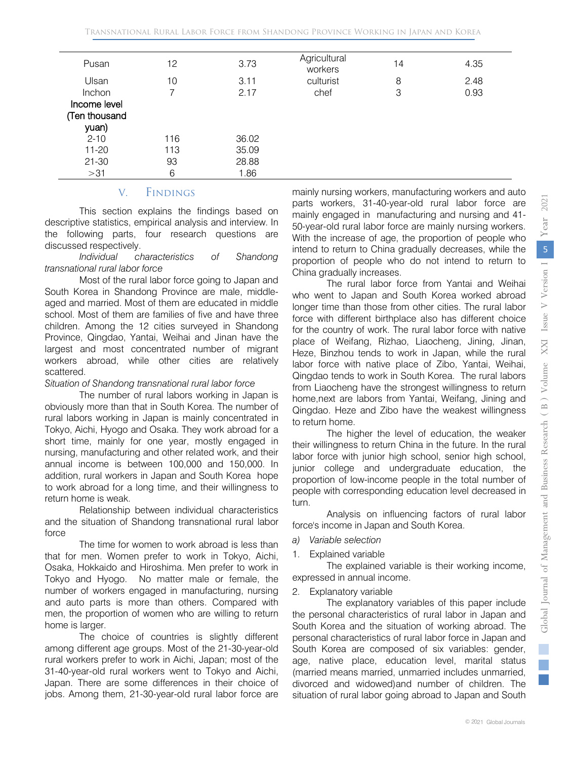| Pusan         | 12  | 3.73  | Agricultural<br>workers | 14 | 4.35 |
|---------------|-----|-------|-------------------------|----|------|
| Ulsan         | 10  | 3.11  | culturist               | 8  | 2.48 |
| Inchon        |     | 2.17  | chef                    | 3  | 0.93 |
| Income level  |     |       |                         |    |      |
| (Ten thousand |     |       |                         |    |      |
| yuan)         |     |       |                         |    |      |
| $2 - 10$      | 116 | 36.02 |                         |    |      |
| 11-20         | 113 | 35.09 |                         |    |      |
| $21 - 30$     | 93  | 28.88 |                         |    |      |
| >31           | 6   | 1.86  |                         |    |      |

#### V. Findings

This section explains the findings based on descriptive statistics, empirical analysis and interview. In the following parts, four research questions are discussed respectively.

#### *Individual characteristics of Shandong transnational rural labor force*

Most of the rural labor force going to Japan and South Korea in Shandong Province are male, middleaged and married. Most of them are educated in middle school. Most of them are families of five and have three children. Among the 12 cities surveyed in Shandong Province, Qingdao, Yantai, Weihai and Jinan have the largest and most concentrated number of migrant workers abroad, while other cities are relatively scattered.

#### *Situation of Shandong transnational rural labor force*

The number of rural labors working in Japan is obviously more than that in South Korea. The number of rural labors working in Japan is mainly concentrated in Tokyo, Aichi, Hyogo and Osaka. They work abroad for a short time, mainly for one year, mostly engaged in nursing, manufacturing and other related work, and their annual income is between 100,000 and 150,000. In addition, rural workers in Japan and South Korea hope to work abroad for a long time, and their willingness to return home is weak.

Relationship between individual characteristics and the situation of Shandong transnational rural labor force

The time for women to work abroad is less than that for men. Women prefer to work in Tokyo, Aichi, Osaka, Hokkaido and Hiroshima. Men prefer to work in Tokyo and Hyogo. No matter male or female, the number of workers engaged in manufacturing, nursing and auto parts is more than others. Compared with men, the proportion of women who are willing to return home is larger.

The choice of countries is slightly different among different age groups. Most of the 21-30-year-old rural workers prefer to work in Aichi, Japan; most of the 31-40-year-old rural workers went to Tokyo and Aichi, Japan. There are some differences in their choice of jobs. Among them, 21-30-year-old rural labor force are

mainly nursing workers, manufacturing workers and auto parts workers, 31-40-year-old rural labor force are mainly engaged in manufacturing and nursing and 41- 50-year-old rural labor force are mainly nursing workers. With the increase of age, the proportion of people who intend to return to China gradually decreases, while the proportion of people who do not intend to return to China gradually increases.

The rural labor force from Yantai and Weihai who went to Japan and South Korea worked abroad longer time than those from other cities. The rural labor force with different birthplace also has different choice for the country of work. The rural labor force with native place of Weifang, Rizhao, Liaocheng, Jining, Jinan, Heze, Binzhou tends to work in Japan, while the rural labor force with native place of Zibo, Yantai, Weihai, Qingdao tends to work in South Korea. The rural labors from Liaocheng have the strongest willingness to return home,next are labors from Yantai, Weifang, Jining and Qingdao. Heze and Zibo have the weakest willingness to return home.

The higher the level of education, the weaker their willingness to return China in the future. In the rural labor force with junior high school, senior high school, junior college and undergraduate education, the proportion of low-income people in the total number of people with corresponding education level decreased in turn.

Analysis on influencing factors of rural labor force's income in Japan and South Korea.

- *a) Variable selection*
- 1. Explained variable

The explained variable is their working income, expressed in annual income.

2. Explanatory variable

The explanatory variables of this paper include the personal characteristics of rural labor in Japan and South Korea and the situation of working abroad. The personal characteristics of rural labor force in Japan and South Korea are composed of six variables: gender, age, native place, education level, marital status (married means married, unmarried includes unmarried, divorced and widowed)and number of children. The situation of rural labor going abroad to Japan and South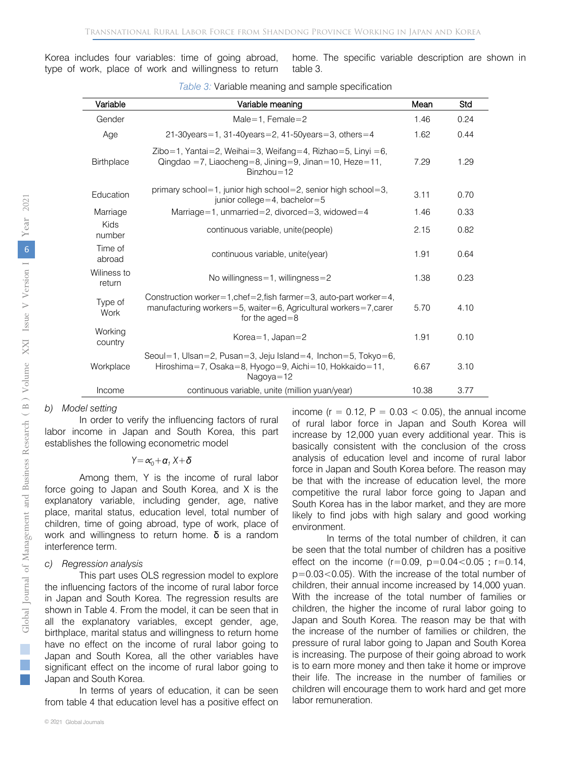Korea includes four variables: time of going abroad, type of work, place of work and willingness to return home. The specific variable description are shown in table 3.

| Variable              | Variable meaning                                                                                                                                              | Mean  | Std  |
|-----------------------|---------------------------------------------------------------------------------------------------------------------------------------------------------------|-------|------|
| Gender                | Male=1. Female=2                                                                                                                                              | 1.46  | 0.24 |
| Age                   | 21-30 years = 1, 31-40 years = 2, 41-50 years = 3, others = 4                                                                                                 | 1.62  | 0.44 |
| Birthplace            | Zibo=1, Yantai=2, Weihai=3, Weifang=4, Rizhao=5, Linyi =6,<br>Qingdao =7, Liaocheng=8, Jining=9, Jinan=10, Heze=11,<br>$Binzhou=12$                           | 7.29  | 1.29 |
| Education             | primary school=1, junior high school=2, senior high school=3,<br>junior college = 4, bachelor = $5$                                                           | 3.11  | 0.70 |
| Marriage              | Marriage=1, unmarried=2, divorced=3, widowed=4                                                                                                                | 1.46  | 0.33 |
| Kids<br>number        | continuous variable, unite(people)                                                                                                                            | 2.15  | 0.82 |
| Time of<br>abroad     | continuous variable, unite (year)                                                                                                                             | 1.91  | 0.64 |
| Wiliness to<br>return | No willingness=1, willingness=2                                                                                                                               | 1.38  | 0.23 |
| Type of<br>Work       | Construction worker=1, chef=2, fish farmer=3, auto-part worker=4,<br>manufacturing workers=5, waiter=6, Agricultural workers=7, carer<br>for the $a$ ged $=8$ | 5.70  | 4.10 |
| Working<br>country    | Korea=1, $Japan=2$                                                                                                                                            | 1.91  | 0.10 |
| Workplace             | Seoul=1, Ulsan=2, Pusan=3, Jeju Island=4, Inchon=5, Tokyo=6,<br>Hiroshima=7, Osaka=8, Hyogo=9, Aichi=10, Hokkaido=11,<br>$Naqova = 12$                        | 6.67  | 3.10 |
| Income                | continuous variable, unite (million yuan/year)                                                                                                                | 10.38 | 3.77 |

|  | Table 3: Variable meaning and sample specification |  |  |
|--|----------------------------------------------------|--|--|
|  |                                                    |  |  |

#### *b) Model setting*

In order to verify the influencing factors of rural labor income in Japan and South Korea, this part establishes the following econometric model

*Y=*∝*0+α<sup>1</sup> X+δ*

Among them, Y is the income of rural labor force going to Japan and South Korea, and X is the explanatory variable, including gender, age, native place, marital status, education level, total number of children, time of going abroad, type of work, place of work and willingness to return home.  $\delta$  is a random interference term.

#### *c) Regression analysis*

This part uses OLS regression model to explore the influencing factors of the income of rural labor force in Japan and South Korea. The regression results are shown in Table 4. From the model, it can be seen that in all the explanatory variables, except gender, age, birthplace, marital status and willingness to return home have no effect on the income of rural labor going to Japan and South Korea, all the other variables have significant effect on the income of rural labor going to Japan and South Korea.

In terms of years of education, it can be seen from table 4 that education level has a positive effect on income ( $r = 0.12$ ,  $P = 0.03 < 0.05$ ), the annual income of rural labor force in Japan and South Korea will increase by 12,000 yuan every additional year. This is basically consistent with the conclusion of the cross analysis of education level and income of rural labor force in Japan and South Korea before. The reason may be that with the increase of education level, the more competitive the rural labor force going to Japan and South Korea has in the labor market, and they are more likely to find jobs with high salary and good working environment.

In terms of the total number of children, it can be seen that the total number of children has a positive effect on the income  $(r=0.09, p=0.04 < 0.05; r=0.14,$ p=0.03<0.05). With the increase of the total number of children, their annual income increased by 14,000 yuan. With the increase of the total number of families or children, the higher the income of rural labor going to Japan and South Korea. The reason may be that with the increase of the number of families or children, the pressure of rural labor going to Japan and South Korea is increasing. The purpose of their going abroad to work is to earn more money and then take it home or improve their life. The increase in the number of families or children will encourage them to work hard and get more labor remuneration.

i.  $\mathbb{R}^n$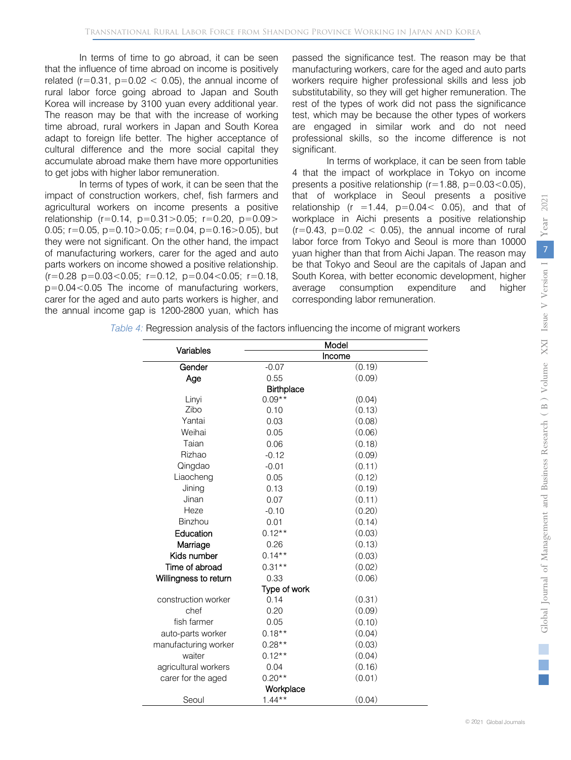In terms of time to go abroad, it can be seen that the influence of time abroad on income is positively related ( $r=0.31$ ,  $p=0.02 < 0.05$ ), the annual income of rural labor force going abroad to Japan and South Korea will increase by 3100 yuan every additional year. The reason may be that with the increase of working time abroad, rural workers in Japan and South Korea adapt to foreign life better. The higher acceptance of cultural difference and the more social capital they accumulate abroad make them have more opportunities to get jobs with higher labor remuneration.

In terms of types of work, it can be seen that the impact of construction workers, chef, fish farmers and agricultural workers on income presents a positive relationship ( $r=0.14$ ,  $p=0.31>0.05$ ;  $r=0.20$ ,  $p=0.09>$ 0.05;  $r=0.05$ ,  $p=0.10>0.05$ ;  $r=0.04$ ,  $p=0.16>0.05$ ), but they were not significant. On the other hand, the impact of manufacturing workers, carer for the aged and auto parts workers on income showed a positive relationship.  $(r=0.28 \text{ p}=0.03<0.05; r=0.12, \text{ p}=0.04<0.05; r=0.18,$ p=0.04<0.05 The income of manufacturing workers, carer for the aged and auto parts workers is higher, and the annual income gap is 1200-2800 yuan, which has

passed the significance test. The reason may be that manufacturing workers, care for the aged and auto parts workers require higher professional skills and less job substitutability, so they will get higher remuneration. The rest of the types of work did not pass the significance test, which may be because the other types of workers are engaged in similar work and do not need professional skills, so the income difference is not significant.

In terms of workplace, it can be seen from table 4 that the impact of workplace in Tokyo on income presents a positive relationship ( $r=1.88$ ,  $p=0.03<0.05$ ), that of workplace in Seoul presents a positive relationship ( $r = 1.44$ ,  $p = 0.04 < 0.05$ ), and that of workplace in Aichi presents a positive relationship  $(r=0.43, p=0.02 < 0.05)$ , the annual income of rural labor force from Tokyo and Seoul is more than 10000 yuan higher than that from Aichi Japan. The reason may be that Tokyo and Seoul are the capitals of Japan and South Korea, with better economic development, higher average consumption expenditure and higher corresponding labor remuneration.

*Table 4:* Regression analysis of the factors influencing the income of migrant workers

|                       | Model             |        |  |
|-----------------------|-------------------|--------|--|
| Variables             |                   | Income |  |
| Gender                | $-0.07$           | (0.19) |  |
| Age                   | 0.55              | (0.09) |  |
|                       | <b>Birthplace</b> |        |  |
| Linyi                 | $0.09**$          | (0.04) |  |
| Zibo                  | 0.10              | (0.13) |  |
| Yantai                | 0.03              | (0.08) |  |
| Weihai                | 0.05              | (0.06) |  |
| Taian                 | 0.06              | (0.18) |  |
| Rizhao                | $-0.12$           | (0.09) |  |
| Qingdao               | $-0.01$           | (0.11) |  |
| Liaocheng             | 0.05              | (0.12) |  |
| Jining                | 0.13              | (0.19) |  |
| Jinan                 | 0.07              | (0.11) |  |
| Heze                  | $-0.10$           | (0.20) |  |
| Binzhou               | 0.01              | (0.14) |  |
| Education             | $0.12**$          | (0.03) |  |
| Marriage              | 0.26              | (0.13) |  |
| Kids number           | $0.14***$         | (0.03) |  |
| Time of abroad        | $0.31**$          | (0.02) |  |
| Willingness to return | 0.33              | (0.06) |  |
|                       | Type of work      |        |  |
| construction worker   | 0.14              | (0.31) |  |
| chef                  | 0.20              | (0.09) |  |
| fish farmer           | 0.05              | (0.10) |  |
| auto-parts worker     | $0.18**$          | (0.04) |  |
| manufacturing worker  | $0.28**$          | (0.03) |  |
| waiter                | $0.12***$         | (0.04) |  |
| agricultural workers  | 0.04              | (0.16) |  |
| carer for the aged    | $0.20**$          | (0.01) |  |
|                       | Workplace         |        |  |
| Seoul                 | $1.44***$         | (0.04) |  |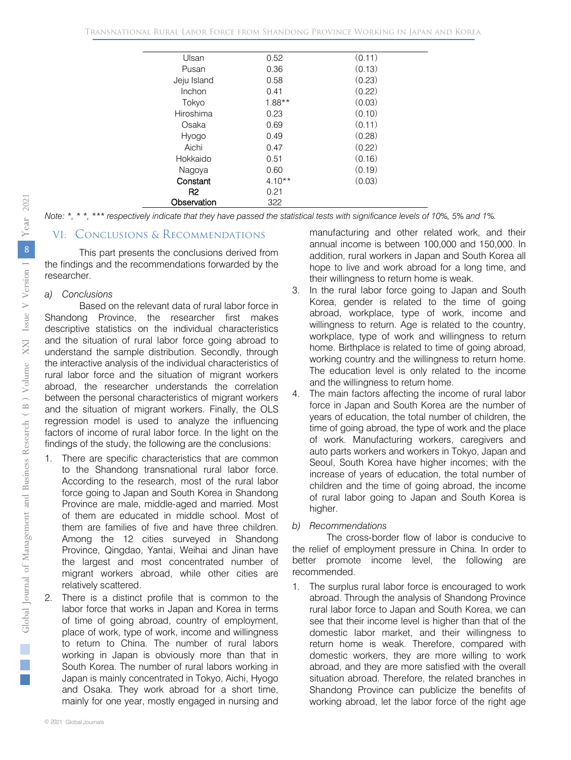| Ulsan       | 0.52     | (0.11) |
|-------------|----------|--------|
| Pusan       | 0.36     | (0.13) |
| Jeju Island | 0.58     | (0.23) |
| Inchon      | 0.41     | (0.22) |
| Tokyo       | $1.88**$ | (0.03) |
| Hiroshima   | 0.23     | (0.10) |
| Osaka       | 0.69     | (0.11) |
| Hyogo       | 0.49     | (0.28) |
| Aichi       | 0.47     | (0.22) |
| Hokkaido    | 0.51     | (0.16) |
| Nagoya      | 0.60     | (0.19) |
| Constant    | $4.10**$ | (0.03) |
| R2          | 0.21     |        |
| Observation | 322      |        |

*Note: \*, \* \*, \*\*\* respectively indicate that they have passed the statistical tests with significance levels of 10%, 5% and 1%.*

#### VI. Conclusions & Recommendations

This part presents the conclusions derived from the findings and the recommendations forwarded by the researcher.

#### *a) Conclusions*

Based on the relevant data of rural labor force in Shandong Province, the researcher first makes descriptive statistics on the individual characteristics and the situation of rural labor force going abroad to understand the sample distribution. Secondly, through the interactive analysis of the individual characteristics of rural labor force and the situation of migrant workers abroad, the researcher understands the correlation between the personal characteristics of migrant workers and the situation of migrant workers. Finally, the OLS regression model is used to analyze the influencing factors of income of rural labor force. In the light on the findings of the study, the following are the conclusions:

- 1. There are specific characteristics that are common to the Shandong transnational rural labor force. According to the research, most of the rural labor force going to Japan and South Korea in Shandong Province are male, middle-aged and married. Most of them are educated in middle school. Most of them are families of five and have three children. Among the 12 cities surveyed in Shandong Province, Qingdao, Yantai, Weihai and Jinan have the largest and most concentrated number of migrant workers abroad, while other cities are relatively scattered.
- There is a distinct profile that is common to the labor force that works in Japan and Korea in terms of time of going abroad, country of employment, place of work, type of work, income and willingness to return to China. The number of rural labors working in Japan is obviously more than that in South Korea. The number of rural labors working in Japan is mainly concentrated in Tokyo, Aichi, Hyogo and Osaka. They work abroad for a short time, mainly for one year, mostly engaged in nursing and

manufacturing and other related work, and their annual income is between 100,000 and 150,000. In addition, rural workers in Japan and South Korea all hope to live and work abroad for a long time, and their willingness to return home is weak.

- 3. In the rural labor force going to Japan and South Korea, gender is related to the time of going abroad, workplace, type of work, income and willingness to return. Age is related to the country, workplace, type of work and willingness to return home. Birthplace is related to time of going abroad, working country and the willingness to return home. The education level is only related to the income and the willingness to return home.
- 4. The main factors affecting the income of rural labor force in Japan and South Korea are the number of years of education, the total number of children, the time of going abroad, the type of work and the place of work. Manufacturing workers, caregivers and auto parts workers and workers in Tokyo, Japan and Seoul, South Korea have higher incomes; with the increase of years of education, the total number of children and the time of going abroad, the income of rural labor going to Japan and South Korea is higher.
- *b) Recommendations*

The cross-border flow of labor is conducive to the relief of employment pressure in China. In order to better promote income level, the following are recommended.

1. The surplus rural labor force is encouraged to work abroad. Through the analysis of Shandong Province rural labor force to Japan and South Korea, we can see that their income level is higher than that of the domestic labor market, and their willingness to return home is weak. Therefore, compared with domestic workers, they are more willing to work abroad, and they are more satisfied with the overall situation abroad. Therefore, the related branches in Shandong Province can publicize the benefits of working abroad, let the labor force of the right age

 $\mathcal{L}_{\mathcal{A}}$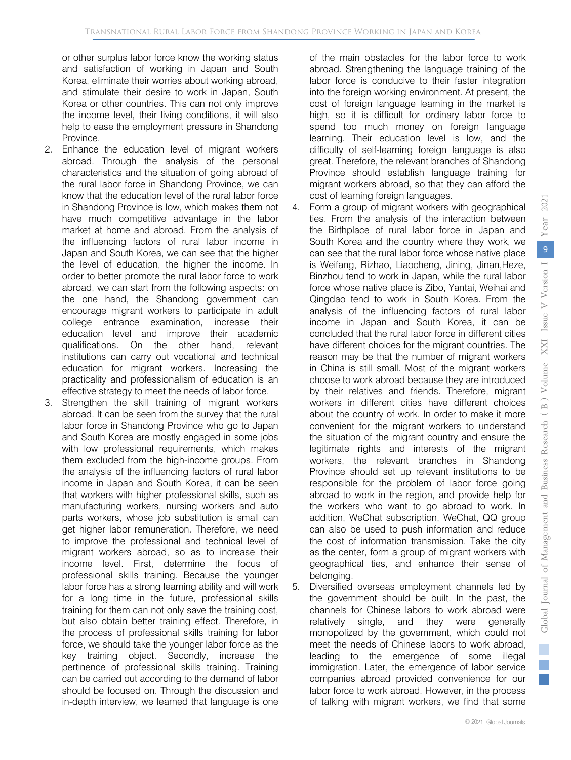or other surplus labor force know the working status and satisfaction of working in Japan and South Korea, eliminate their worries about working abroad, and stimulate their desire to work in Japan, South Korea or other countries. This can not only improve the income level, their living conditions, it will also help to ease the employment pressure in Shandong Province.

- 2. Enhance the education level of migrant workers abroad. Through the analysis of the personal characteristics and the situation of going abroad of the rural labor force in Shandong Province, we can know that the education level of the rural labor force in Shandong Province is low, which makes them not have much competitive advantage in the labor market at home and abroad. From the analysis of the influencing factors of rural labor income in Japan and South Korea, we can see that the higher the level of education, the higher the income. In order to better promote the rural labor force to work abroad, we can start from the following aspects: on the one hand, the Shandong government can encourage migrant workers to participate in adult college entrance examination, increase their education level and improve their academic qualifications. On the other hand, relevant institutions can carry out vocational and technical education for migrant workers. Increasing the practicality and professionalism of education is an effective strategy to meet the needs of labor force.
- 3. Strengthen the skill training of migrant workers abroad. It can be seen from the survey that the rural labor force in Shandong Province who go to Japan and South Korea are mostly engaged in some jobs with low professional requirements, which makes them excluded from the high-income groups. From the analysis of the influencing factors of rural labor income in Japan and South Korea, it can be seen that workers with higher professional skills, such as manufacturing workers, nursing workers and auto parts workers, whose job substitution is small can get higher labor remuneration. Therefore, we need to improve the professional and technical level of migrant workers abroad, so as to increase their income level. First, determine the focus of professional skills training. Because the younger labor force has a strong learning ability and will work for a long time in the future, professional skills training for them can not only save the training cost, but also obtain better training effect. Therefore, in the process of professional skills training for labor force, we should take the younger labor force as the key training object. Secondly, increase the pertinence of professional skills training. Training can be carried out according to the demand of labor should be focused on. Through the discussion and in-depth interview, we learned that language is one

of the main obstacles for the labor force to work abroad. Strengthening the language training of the labor force is conducive to their faster integration into the foreign working environment. At present, the cost of foreign language learning in the market is high, so it is difficult for ordinary labor force to spend too much money on foreign language learning. Their education level is low, and the difficulty of self-learning foreign language is also great. Therefore, the relevant branches of Shandong Province should establish language training for migrant workers abroad, so that they can afford the cost of learning foreign languages.

- 4. Form a group of migrant workers with geographical ties. From the analysis of the interaction between the Birthplace of rural labor force in Japan and South Korea and the country where they work, we can see that the rural labor force whose native place is Weifang, Rizhao, Liaocheng, Jining, Jinan,Heze, Binzhou tend to work in Japan, while the rural labor force whose native place is Zibo, Yantai, Weihai and Qingdao tend to work in South Korea. From the analysis of the influencing factors of rural labor income in Japan and South Korea, it can be concluded that the rural labor force in different cities have different choices for the migrant countries. The reason may be that the number of migrant workers in China is still small. Most of the migrant workers choose to work abroad because they are introduced by their relatives and friends. Therefore, migrant workers in different cities have different choices about the country of work. In order to make it more convenient for the migrant workers to understand the situation of the migrant country and ensure the legitimate rights and interests of the migrant workers, the relevant branches in Shandong Province should set up relevant institutions to be responsible for the problem of labor force going abroad to work in the region, and provide help for the workers who want to go abroad to work. In addition, WeChat subscription, WeChat, QQ group can also be used to push information and reduce the cost of information transmission. Take the city as the center, form a group of migrant workers with geographical ties, and enhance their sense of belonging.
- 5. Diversified overseas employment channels led by the government should be built. In the past, the channels for Chinese labors to work abroad were relatively single, and they were generally monopolized by the government, which could not meet the needs of Chinese labors to work abroad, leading to the emergence of some illegal immigration. Later, the emergence of labor service companies abroad provided convenience for our labor force to work abroad. However, in the process of talking with migrant workers, we find that some